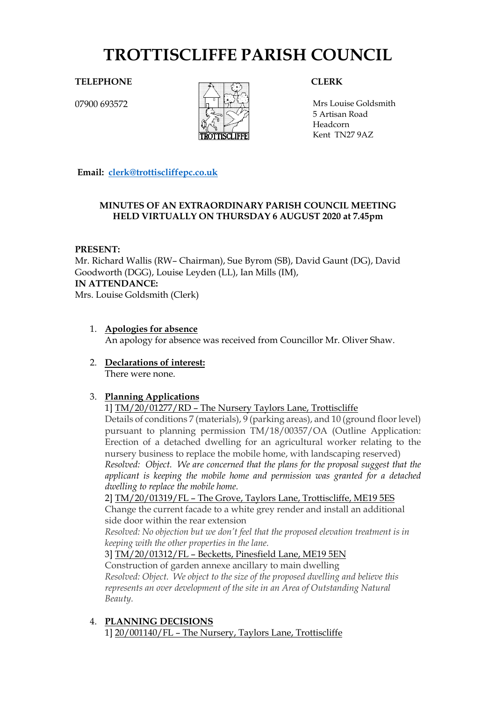# **TROTTISCLIFFE PARISH COUNCIL**

**TELEPHONE CLERK**

07900 693572



Mrs Louise Goldsmith 5 Artisan Road Headcorn Kent TN27 9AZ

**Email: [clerk@trottiscliffepc.co.uk](mailto:clerk@trottiscliffepc.co.uk)**

#### **MINUTES OF AN EXTRAORDINARY PARISH COUNCIL MEETING HELD VIRTUALLY ON THURSDAY 6 AUGUST 2020 at 7.45pm**

#### **PRESENT:**

Mr. Richard Wallis (RW– Chairman), Sue Byrom (SB), David Gaunt (DG), David Goodworth (DGG), Louise Leyden (LL), Ian Mills (IM), **IN ATTENDANCE:**  Mrs. Louise Goldsmith (Clerk)

- 1. **Apologies for absence** An apology for absence was received from Councillor Mr. Oliver Shaw.
- 2. **Declarations of interest:**  There were none.

## 3. **Planning Applications**

1] TM/20/01277/RD – The Nursery Taylors Lane, Trottiscliffe

Details of conditions 7 (materials), 9 (parking areas), and 10 (ground floor level) pursuant to planning permission TM/18/00357/OA (Outline Application: Erection of a detached dwelling for an agricultural worker relating to the nursery business to replace the mobile home, with landscaping reserved) *Resolved: Object. We are concerned that the plans for the proposal suggest that the applicant is keeping the mobile home and permission was granted for a detached* 

*dwelling to replace the mobile home.*

2] TM/20/01319/FL – The Grove, Taylors Lane, Trottiscliffe, ME19 5ES

Change the current facade to a white grey render and install an additional side door within the rear extension

*Resolved: No objection but we don't feel that the proposed elevation treatment is in keeping with the other properties in the lane.*

### 3] TM/20/01312/FL – Becketts, Pinesfield Lane, ME19 5EN

Construction of garden annexe ancillary to main dwelling *Resolved: Object. We object to the size of the proposed dwelling and believe this represents an over development of the site in an Area of Outstanding Natural Beauty.*

4. **PLANNING DECISIONS** 1] 20/001140/FL – The Nursery, Taylors Lane, Trottiscliffe